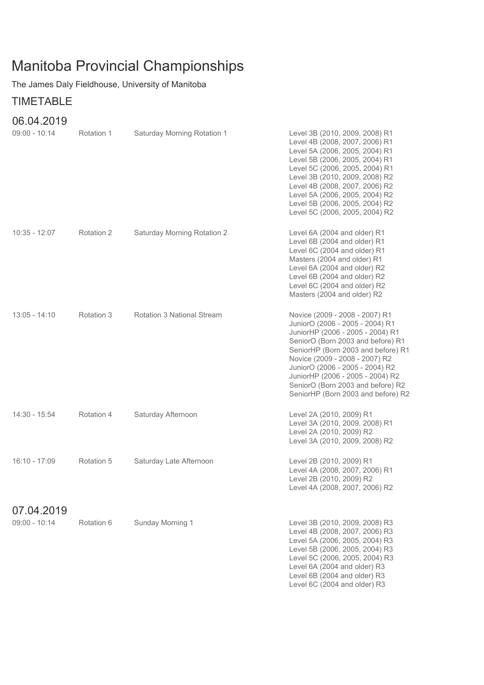## Manitoba Provincial Championships

The James Daly Fieldhouse, University of Manitoba

## TIMETABLE

## 06.04.2019

| $09:00 - 10:14$ | Rotation 1 | Saturday Morning Rotation 1 | Level 3B (2010, 2009, 2008) R1<br>Level 4B (2008, 2007, 2006) R1<br>Level 5A (2006, 2005, 2004) R1<br>Level 5B (2006, 2005, 2004) R1<br>Level 5C (2006, 2005, 2004) R1<br>Level 3B (2010, 2009, 2008) R2<br>Level 4B (2008, 2007, 2006) R2<br>Level 5A (2006, 2005, 2004) R2<br>Level 5B (2006, 2005, 2004) R2<br>Level 5C (2006, 2005, 2004) R2                     |
|-----------------|------------|-----------------------------|----------------------------------------------------------------------------------------------------------------------------------------------------------------------------------------------------------------------------------------------------------------------------------------------------------------------------------------------------------------------|
| $10:35 - 12:07$ | Rotation 2 | Saturday Morning Rotation 2 | Level 6A (2004 and older) R1<br>Level 6B (2004 and older) R1<br>Level 6C (2004 and older) R1<br>Masters (2004 and older) R1<br>Level 6A (2004 and older) R2<br>Level 6B (2004 and older) R2<br>Level 6C (2004 and older) R2<br>Masters (2004 and older) R2                                                                                                           |
| $13:05 - 14:10$ | Rotation 3 | Rotation 3 National Stream  | Novice (2009 - 2008 - 2007) R1<br>JuniorO (2006 - 2005 - 2004) R1<br>JuniorHP (2006 - 2005 - 2004) R1<br>SeniorO (Born 2003 and before) R1<br>SeniorHP (Born 2003 and before) R1<br>Novice (2009 - 2008 - 2007) R2<br>JuniorO (2006 - 2005 - 2004) R2<br>JuniorHP (2006 - 2005 - 2004) R2<br>SeniorO (Born 2003 and before) R2<br>SeniorHP (Born 2003 and before) R2 |
| 14:30 - 15:54   | Rotation 4 | Saturday Afternoon          | Level 2A (2010, 2009) R1<br>Level 3A (2010, 2009, 2008) R1<br>Level 2A (2010, 2009) R2<br>Level 3A (2010, 2009, 2008) R2                                                                                                                                                                                                                                             |
| 16:10 - 17:09   | Rotation 5 | Saturday Late Afternoon     | Level 2B (2010, 2009) R1<br>Level 4A (2008, 2007, 2006) R1<br>Level 2B (2010, 2009) R2<br>Level 4A (2008, 2007, 2006) R2                                                                                                                                                                                                                                             |
| 07.04.2019      |            |                             |                                                                                                                                                                                                                                                                                                                                                                      |
| $09:00 - 10:14$ | Rotation 6 | Sunday Morning 1            | Level 3B (2010, 2009, 2008) R3<br>Level 4B (2008, 2007, 2006) R3<br>Level 5A (2006, 2005, 2004) R3<br>Level 5B (2006, 2005, 2004) R3<br>Level 5C (2006, 2005, 2004) R3<br>Level 6A (2004 and older) R3<br>Level 6B (2004 and older) R3<br>Level 6C (2004 and older) R3                                                                                               |